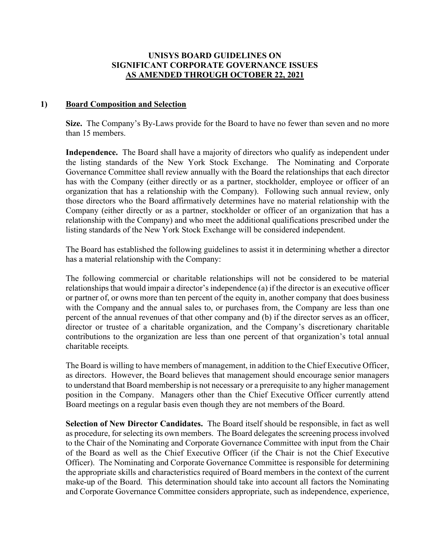#### **UNISYS BOARD GUIDELINES ON SIGNIFICANT CORPORATE GOVERNANCE ISSUES AS AMENDED THROUGH OCTOBER 22, 2021**

#### **1) Board Composition and Selection**

**Size.** The Company's By-Laws provide for the Board to have no fewer than seven and no more than 15 members.

**Independence.** The Board shall have a majority of directors who qualify as independent under the listing standards of the New York Stock Exchange. The Nominating and Corporate Governance Committee shall review annually with the Board the relationships that each director has with the Company (either directly or as a partner, stockholder, employee or officer of an organization that has a relationship with the Company). Following such annual review, only those directors who the Board affirmatively determines have no material relationship with the Company (either directly or as a partner, stockholder or officer of an organization that has a relationship with the Company) and who meet the additional qualifications prescribed under the listing standards of the New York Stock Exchange will be considered independent.

The Board has established the following guidelines to assist it in determining whether a director has a material relationship with the Company:

The following commercial or charitable relationships will not be considered to be material relationships that would impair a director's independence (a) if the director is an executive officer or partner of, or owns more than ten percent of the equity in, another company that does business with the Company and the annual sales to, or purchases from, the Company are less than one percent of the annual revenues of that other company and (b) if the director serves as an officer, director or trustee of a charitable organization, and the Company's discretionary charitable contributions to the organization are less than one percent of that organization's total annual charitable receipts*.* 

The Board is willing to have members of management, in addition to the Chief Executive Officer, as directors. However, the Board believes that management should encourage senior managers to understand that Board membership is not necessary or a prerequisite to any higher management position in the Company. Managers other than the Chief Executive Officer currently attend Board meetings on a regular basis even though they are not members of the Board.

**Selection of New Director Candidates.** The Board itself should be responsible, in fact as well as procedure, for selecting its own members. The Board delegates the screening process involved to the Chair of the Nominating and Corporate Governance Committee with input from the Chair of the Board as well as the Chief Executive Officer (if the Chair is not the Chief Executive Officer). The Nominating and Corporate Governance Committee is responsible for determining the appropriate skills and characteristics required of Board members in the context of the current make-up of the Board. This determination should take into account all factors the Nominating and Corporate Governance Committee considers appropriate, such as independence, experience,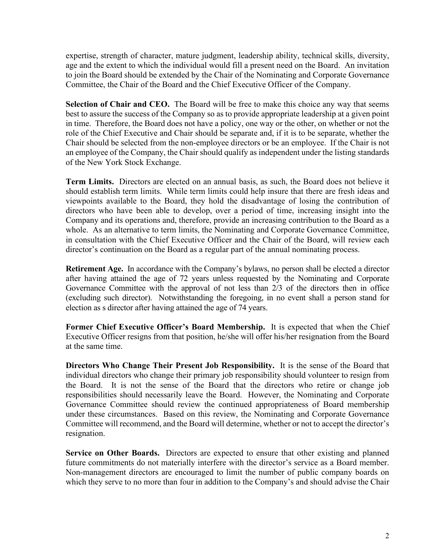expertise, strength of character, mature judgment, leadership ability, technical skills, diversity, age and the extent to which the individual would fill a present need on the Board. An invitation to join the Board should be extended by the Chair of the Nominating and Corporate Governance Committee, the Chair of the Board and the Chief Executive Officer of the Company.

**Selection of Chair and CEO.** The Board will be free to make this choice any way that seems best to assure the success of the Company so as to provide appropriate leadership at a given point in time. Therefore, the Board does not have a policy, one way or the other, on whether or not the role of the Chief Executive and Chair should be separate and, if it is to be separate, whether the Chair should be selected from the non-employee directors or be an employee. If the Chair is not an employee of the Company, the Chair should qualify as independent under the listing standards of the New York Stock Exchange.

**Term Limits.** Directors are elected on an annual basis, as such, the Board does not believe it should establish term limits. While term limits could help insure that there are fresh ideas and viewpoints available to the Board, they hold the disadvantage of losing the contribution of directors who have been able to develop, over a period of time, increasing insight into the Company and its operations and, therefore, provide an increasing contribution to the Board as a whole. As an alternative to term limits, the Nominating and Corporate Governance Committee, in consultation with the Chief Executive Officer and the Chair of the Board, will review each director's continuation on the Board as a regular part of the annual nominating process.

**Retirement Age.** In accordance with the Company's bylaws, no person shall be elected a director after having attained the age of 72 years unless requested by the Nominating and Corporate Governance Committee with the approval of not less than 2/3 of the directors then in office (excluding such director). Notwithstanding the foregoing, in no event shall a person stand for election as s director after having attained the age of 74 years.

**Former Chief Executive Officer's Board Membership.** It is expected that when the Chief Executive Officer resigns from that position, he/she will offer his/her resignation from the Board at the same time.

**Directors Who Change Their Present Job Responsibility.** It is the sense of the Board that individual directors who change their primary job responsibility should volunteer to resign from the Board. It is not the sense of the Board that the directors who retire or change job responsibilities should necessarily leave the Board. However, the Nominating and Corporate Governance Committee should review the continued appropriateness of Board membership under these circumstances. Based on this review, the Nominating and Corporate Governance Committee will recommend, and the Board will determine, whether or not to accept the director's resignation.

**Service on Other Boards.** Directors are expected to ensure that other existing and planned future commitments do not materially interfere with the director's service as a Board member. Non-management directors are encouraged to limit the number of public company boards on which they serve to no more than four in addition to the Company's and should advise the Chair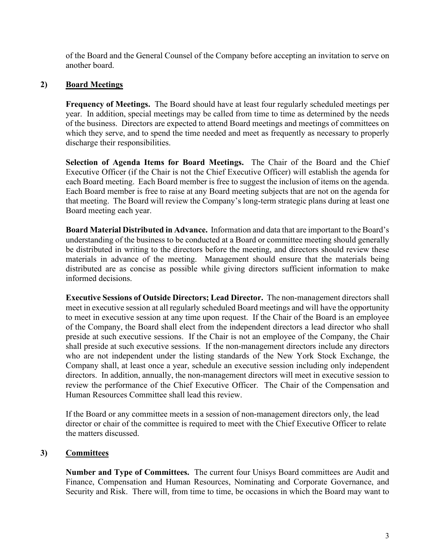of the Board and the General Counsel of the Company before accepting an invitation to serve on another board.

# **2) Board Meetings**

**Frequency of Meetings.** The Board should have at least four regularly scheduled meetings per year. In addition, special meetings may be called from time to time as determined by the needs of the business. Directors are expected to attend Board meetings and meetings of committees on which they serve, and to spend the time needed and meet as frequently as necessary to properly discharge their responsibilities.

**Selection of Agenda Items for Board Meetings.** The Chair of the Board and the Chief Executive Officer (if the Chair is not the Chief Executive Officer) will establish the agenda for each Board meeting. Each Board member is free to suggest the inclusion of items on the agenda. Each Board member is free to raise at any Board meeting subjects that are not on the agenda for that meeting. The Board will review the Company's long-term strategic plans during at least one Board meeting each year.

**Board Material Distributed in Advance.** Information and data that are important to the Board's understanding of the business to be conducted at a Board or committee meeting should generally be distributed in writing to the directors before the meeting, and directors should review these materials in advance of the meeting. Management should ensure that the materials being distributed are as concise as possible while giving directors sufficient information to make informed decisions.

**Executive Sessions of Outside Directors; Lead Director.** The non-management directors shall meet in executive session at all regularly scheduled Board meetings and will have the opportunity to meet in executive session at any time upon request. If the Chair of the Board is an employee of the Company, the Board shall elect from the independent directors a lead director who shall preside at such executive sessions. If the Chair is not an employee of the Company, the Chair shall preside at such executive sessions. If the non-management directors include any directors who are not independent under the listing standards of the New York Stock Exchange, the Company shall, at least once a year, schedule an executive session including only independent directors. In addition, annually, the non-management directors will meet in executive session to review the performance of the Chief Executive Officer. The Chair of the Compensation and Human Resources Committee shall lead this review.

If the Board or any committee meets in a session of non-management directors only, the lead director or chair of the committee is required to meet with the Chief Executive Officer to relate the matters discussed.

## **3) Committees**

**Number and Type of Committees.** The current four Unisys Board committees are Audit and Finance, Compensation and Human Resources, Nominating and Corporate Governance, and Security and Risk. There will, from time to time, be occasions in which the Board may want to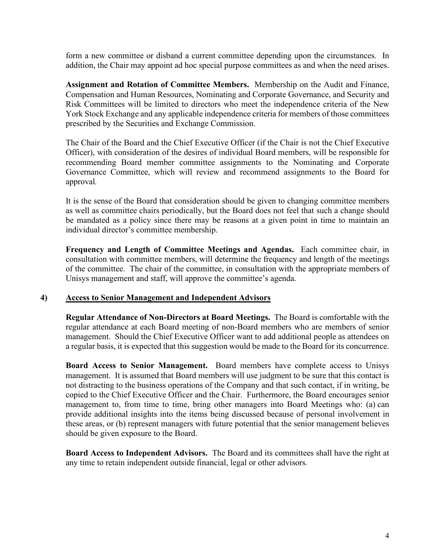form a new committee or disband a current committee depending upon the circumstances. In addition, the Chair may appoint ad hoc special purpose committees as and when the need arises.

**Assignment and Rotation of Committee Members.** Membership on the Audit and Finance, Compensation and Human Resources, Nominating and Corporate Governance, and Security and Risk Committees will be limited to directors who meet the independence criteria of the New York Stock Exchange and any applicable independence criteria for members of those committees prescribed by the Securities and Exchange Commission.

The Chair of the Board and the Chief Executive Officer (if the Chair is not the Chief Executive Officer), with consideration of the desires of individual Board members, will be responsible for recommending Board member committee assignments to the Nominating and Corporate Governance Committee, which will review and recommend assignments to the Board for approval*.*

It is the sense of the Board that consideration should be given to changing committee members as well as committee chairs periodically, but the Board does not feel that such a change should be mandated as a policy since there may be reasons at a given point in time to maintain an individual director's committee membership.

**Frequency and Length of Committee Meetings and Agendas.** Each committee chair, in consultation with committee members, will determine the frequency and length of the meetings of the committee. The chair of the committee, in consultation with the appropriate members of Unisys management and staff, will approve the committee's agenda.

#### **4) Access to Senior Management and Independent Advisors**

**Regular Attendance of Non-Directors at Board Meetings.** The Board is comfortable with the regular attendance at each Board meeting of non-Board members who are members of senior management. Should the Chief Executive Officer want to add additional people as attendees on a regular basis, it is expected that this suggestion would be made to the Board for its concurrence.

**Board Access to Senior Management.** Board members have complete access to Unisys management. It is assumed that Board members will use judgment to be sure that this contact is not distracting to the business operations of the Company and that such contact, if in writing, be copied to the Chief Executive Officer and the Chair. Furthermore, the Board encourages senior management to, from time to time, bring other managers into Board Meetings who: (a) can provide additional insights into the items being discussed because of personal involvement in these areas, or (b) represent managers with future potential that the senior management believes should be given exposure to the Board.

**Board Access to Independent Advisors.** The Board and its committees shall have the right at any time to retain independent outside financial, legal or other advisors*.*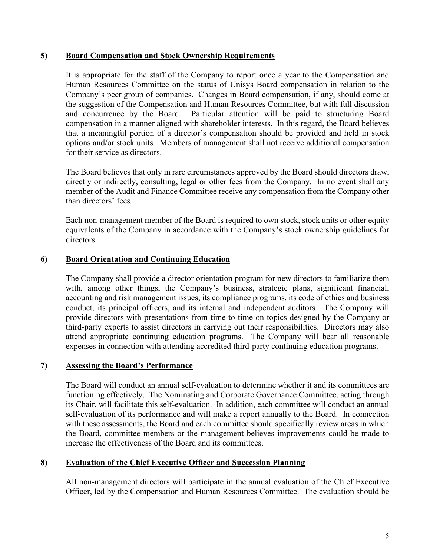#### **5) Board Compensation and Stock Ownership Requirements**

It is appropriate for the staff of the Company to report once a year to the Compensation and Human Resources Committee on the status of Unisys Board compensation in relation to the Company's peer group of companies. Changes in Board compensation, if any, should come at the suggestion of the Compensation and Human Resources Committee, but with full discussion and concurrence by the Board. Particular attention will be paid to structuring Board compensation in a manner aligned with shareholder interests. In this regard, the Board believes that a meaningful portion of a director's compensation should be provided and held in stock options and/or stock units. Members of management shall not receive additional compensation for their service as directors.

The Board believes that only in rare circumstances approved by the Board should directors draw, directly or indirectly, consulting, legal or other fees from the Company. In no event shall any member of the Audit and Finance Committee receive any compensation from the Company other than directors' fees*.*

Each non-management member of the Board is required to own stock, stock units or other equity equivalents of the Company in accordance with the Company's stock ownership guidelines for directors.

## **6) Board Orientation and Continuing Education**

The Company shall provide a director orientation program for new directors to familiarize them with, among other things, the Company's business, strategic plans, significant financial, accounting and risk management issues, its compliance programs, its code of ethics and business conduct, its principal officers, and its internal and independent auditors*.* The Company will provide directors with presentations from time to time on topics designed by the Company or third-party experts to assist directors in carrying out their responsibilities. Directors may also attend appropriate continuing education programs. The Company will bear all reasonable expenses in connection with attending accredited third-party continuing education programs.

#### **7) Assessing the Board's Performance**

The Board will conduct an annual self-evaluation to determine whether it and its committees are functioning effectively. The Nominating and Corporate Governance Committee, acting through its Chair, will facilitate this self-evaluation. In addition, each committee will conduct an annual self-evaluation of its performance and will make a report annually to the Board. In connection with these assessments, the Board and each committee should specifically review areas in which the Board, committee members or the management believes improvements could be made to increase the effectiveness of the Board and its committees.

## **8) Evaluation of the Chief Executive Officer and Succession Planning**

All non-management directors will participate in the annual evaluation of the Chief Executive Officer, led by the Compensation and Human Resources Committee. The evaluation should be